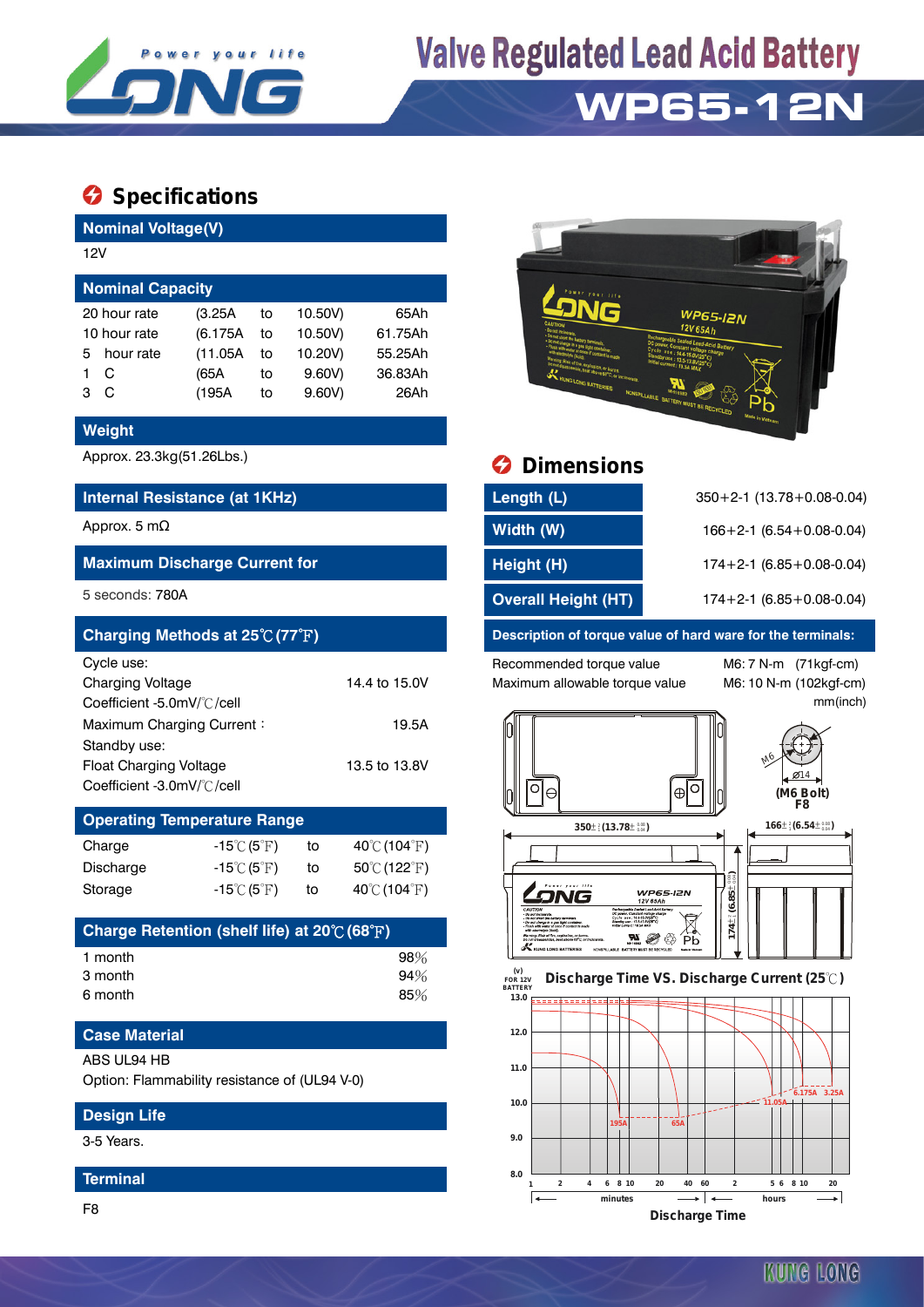

# **Valve Regulated Lead Acid Battery**

## **WP65-12N**

### $\bullet$  Specifications

**Nominal Voltage(V)**

| 12V                     |              |          |    |         |         |  |  |  |  |
|-------------------------|--------------|----------|----|---------|---------|--|--|--|--|
| <b>Nominal Capacity</b> |              |          |    |         |         |  |  |  |  |
|                         | 20 hour rate | (3.25A)  | to | 10.50V) | 65Ah    |  |  |  |  |
| 10 hour rate            |              | (6.175A) | to | 10.50V) | 61.75Ah |  |  |  |  |
| 5                       | hour rate    | (11.05A) | to | 10.20V) | 55.25Ah |  |  |  |  |
|                         | С            | (65A     | to | 9.60V   | 36.83Ah |  |  |  |  |
| з                       | C            | (195A    | to | 9.60V   | 26Ah    |  |  |  |  |

#### **Weight**

#### **Internal Resistance (at 1KHz)**

#### **Maximum Discharge Current for**

| Charging Methods at $25^{\circ}C(77^{\circ}F)$ |               |
|------------------------------------------------|---------------|
| Cycle use:                                     |               |
| <b>Charging Voltage</b>                        | 14.4 to 15.0V |
| Coefficient -5.0mV/°C/cell                     |               |
| Maximum Charging Current:                      | 19.5A         |
| Standby use:                                   |               |
| <b>Float Charging Voltage</b>                  | 13.5 to 13.8V |
| Coefficient -3.0mV/°C/cell                     |               |

### **Operating Temperature Range**

| Charge    | $-15^{\circ}$ C (5 $^{\circ}$ F) | to | $40^{\circ}$ C (104 $^{\circ}$ F) |
|-----------|----------------------------------|----|-----------------------------------|
| Discharge | $-15^{\circ}$ C (5 $^{\circ}$ F) | to | $50^{\circ}$ C (122 $^{\circ}$ F) |
| Storage   | $-15^{\circ}$ C (5 $^{\circ}$ F) | to | 40°C (104°F)                      |

| Charge Retention (shelf life) at $20^{\circ}$ (68 $^{\circ}$ F) |     |
|-----------------------------------------------------------------|-----|
| 1 month                                                         | 98% |
| 3 month                                                         | 94% |
| 6 month                                                         | 85% |

#### **Case Material** ABS UL94 HB

Option: Flammability resistance of (UL94 V-0)

#### **Design Life**

3-5 Years.

#### **Terminal**

F8



## Approx. 23.3kg(51.26Lbs.) **Dimensions**

| Internal Resistance (at 1KHz)        | Length (L)                 | $350+2-1$ (13.78 + 0.08-0.04)      |
|--------------------------------------|----------------------------|------------------------------------|
| Approx. 5 m $\Omega$                 | Width (W)                  | $166 + 2 - 1$ (6.54 + 0.08 - 0.04) |
| <b>Maximum Discharge Current for</b> | Height (H)                 | $174+2-1$ (6.85 + 0.08-0.04)       |
| 5 seconds: 780A                      | <b>Overall Height (HT)</b> | $174+2-1$ (6.85 + 0.08-0.04)       |

#### **Description of torque value of hard ware for the terminals:**

Recommended torque value M6: 7 N-m (71kgf-cm) Maximum allowable torque value M6: 10 N-m (102kgf-cm)

mm(inch)